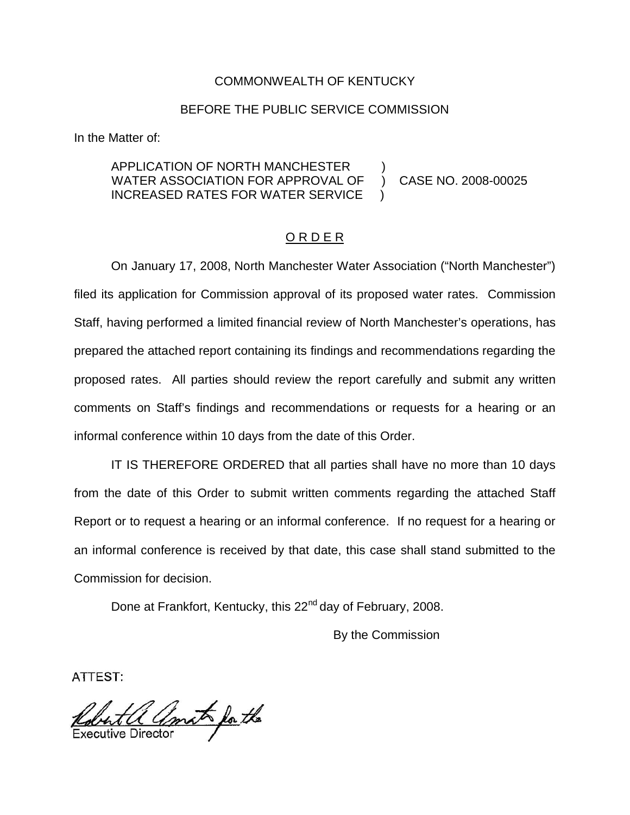### COMMONWEALTH OF KENTUCKY

### BEFORE THE PUBLIC SERVICE COMMISSION

In the Matter of:

### APPLICATION OF NORTH MANCHESTER ) WATER ASSOCIATION FOR APPROVAL OF ) CASE NO. 2008-00025 INCREASED RATES FOR WATER SERVICE

### O R D E R

On January 17, 2008, North Manchester Water Association ("North Manchester") filed its application for Commission approval of its proposed water rates. Commission Staff, having performed a limited financial review of North Manchester's operations, has prepared the attached report containing its findings and recommendations regarding the proposed rates. All parties should review the report carefully and submit any written comments on Staff's findings and recommendations or requests for a hearing or an informal conference within 10 days from the date of this Order.

IT IS THEREFORE ORDERED that all parties shall have no more than 10 days from the date of this Order to submit written comments regarding the attached Staff Report or to request a hearing or an informal conference. If no request for a hearing or an informal conference is received by that date, this case shall stand submitted to the Commission for decision.

Done at Frankfort, Kentucky, this 22<sup>nd</sup> day of February, 2008.

By the Commission

ATTEST:

Robert a amat for the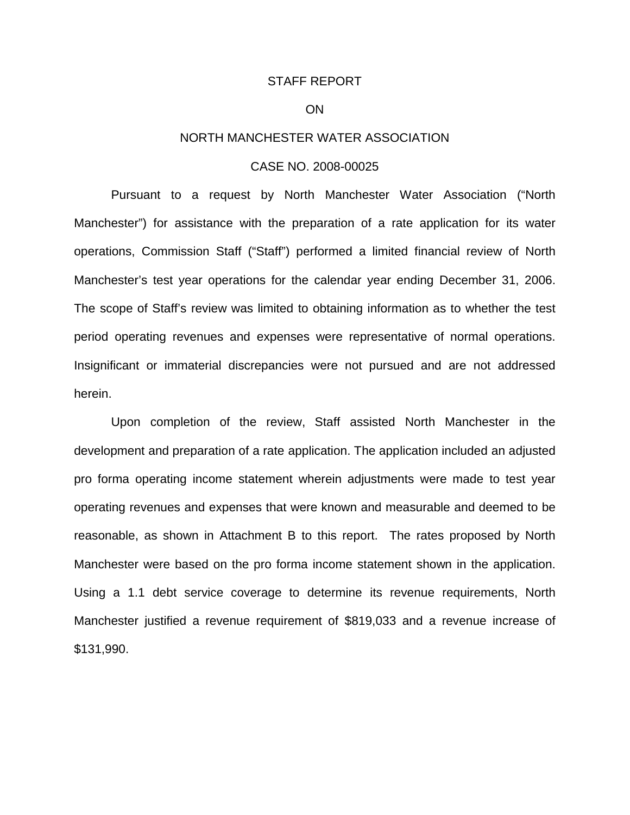#### STAFF REPORT

#### ON

### NORTH MANCHESTER WATER ASSOCIATION

#### CASE NO. 2008-00025

Pursuant to a request by North Manchester Water Association ("North Manchester") for assistance with the preparation of a rate application for its water operations, Commission Staff ("Staff") performed a limited financial review of North Manchester's test year operations for the calendar year ending December 31, 2006. The scope of Staff's review was limited to obtaining information as to whether the test period operating revenues and expenses were representative of normal operations. Insignificant or immaterial discrepancies were not pursued and are not addressed herein.

Upon completion of the review, Staff assisted North Manchester in the development and preparation of a rate application. The application included an adjusted pro forma operating income statement wherein adjustments were made to test year operating revenues and expenses that were known and measurable and deemed to be reasonable, as shown in Attachment B to this report. The rates proposed by North Manchester were based on the pro forma income statement shown in the application. Using a 1.1 debt service coverage to determine its revenue requirements, North Manchester justified a revenue requirement of \$819,033 and a revenue increase of \$131,990.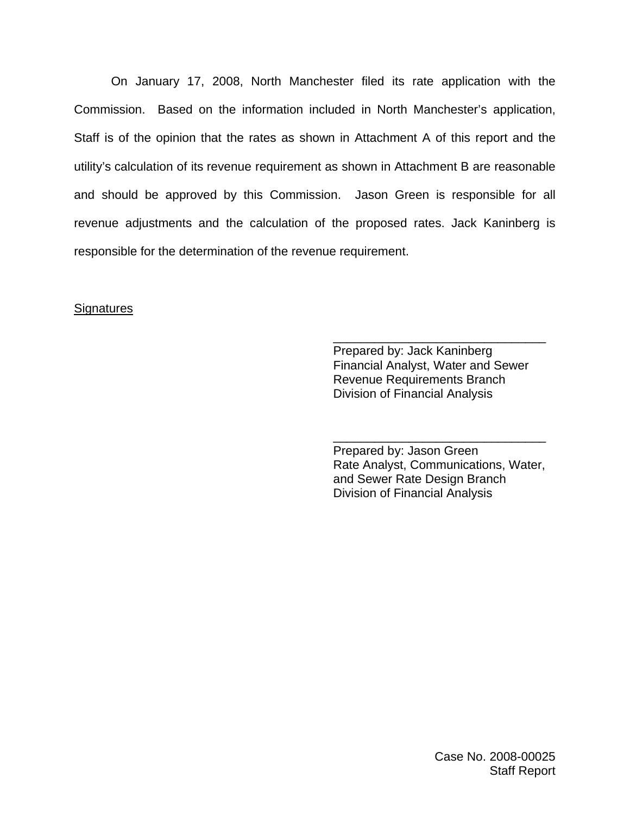On January 17, 2008, North Manchester filed its rate application with the Commission. Based on the information included in North Manchester's application, Staff is of the opinion that the rates as shown in Attachment A of this report and the utility's calculation of its revenue requirement as shown in Attachment B are reasonable and should be approved by this Commission. Jason Green is responsible for all revenue adjustments and the calculation of the proposed rates. Jack Kaninberg is responsible for the determination of the revenue requirement.

### **Signatures**

Prepared by: Jack Kaninberg Financial Analyst, Water and Sewer Revenue Requirements Branch Division of Financial Analysis

\_\_\_\_\_\_\_\_\_\_\_\_\_\_\_\_\_\_\_\_\_\_\_\_\_\_\_\_\_\_\_

Prepared by: Jason Green Rate Analyst, Communications, Water, and Sewer Rate Design Branch Division of Financial Analysis

\_\_\_\_\_\_\_\_\_\_\_\_\_\_\_\_\_\_\_\_\_\_\_\_\_\_\_\_\_\_\_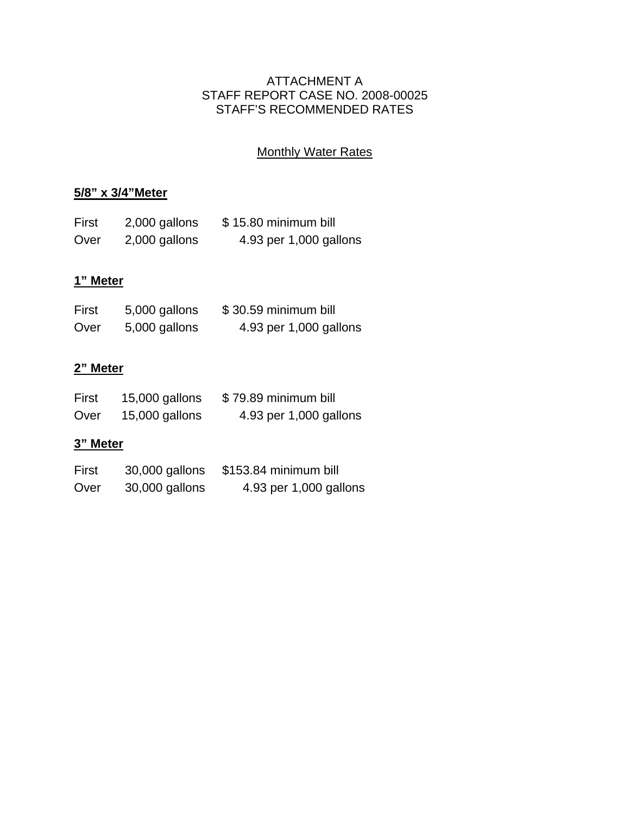# ATTACHMENT A STAFF REPORT CASE NO. 2008-00025 STAFF'S RECOMMENDED RATES

# **Monthly Water Rates**

# **5/8" x 3/4"Meter**

| First | 2,000 gallons | \$15.80 minimum bill   |
|-------|---------------|------------------------|
| Over  | 2,000 gallons | 4.93 per 1,000 gallons |

# **1" Meter**

| First | 5,000 gallons | \$30.59 minimum bill   |
|-------|---------------|------------------------|
| Over  | 5,000 gallons | 4.93 per 1,000 gallons |

# **2" Meter**

| First | 15,000 gallons | \$79.89 minimum bill   |
|-------|----------------|------------------------|
| Over  | 15,000 gallons | 4.93 per 1,000 gallons |

# **3" Meter**

| First | 30,000 gallons | \$153.84 minimum bill  |
|-------|----------------|------------------------|
| Over  | 30,000 gallons | 4.93 per 1,000 gallons |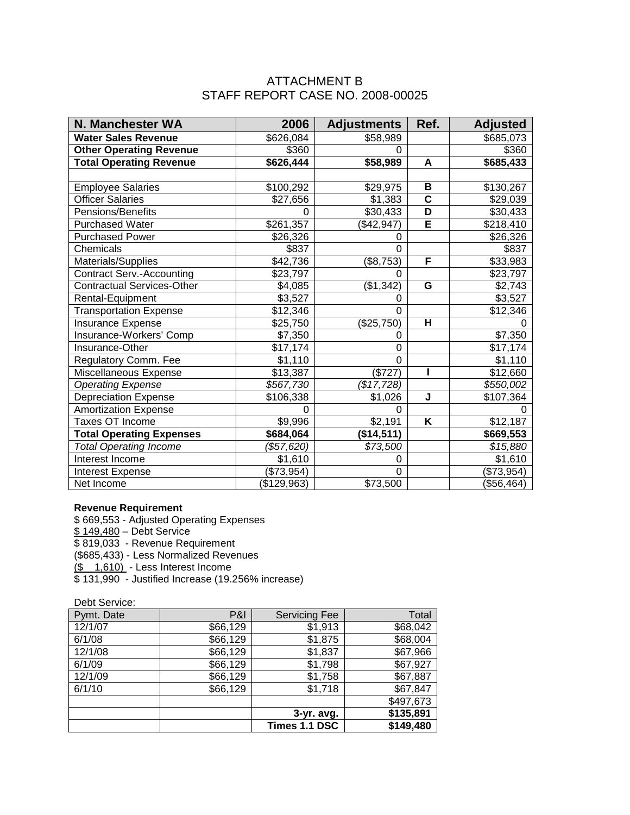## ATTACHMENT B STAFF REPORT CASE NO. 2008-00025

| <b>N. Manchester WA</b>           | 2006        | <b>Adjustments</b> | Ref.                    | <b>Adjusted</b> |
|-----------------------------------|-------------|--------------------|-------------------------|-----------------|
| <b>Water Sales Revenue</b>        | \$626,084   | \$58,989           |                         | \$685,073       |
| <b>Other Operating Revenue</b>    | \$360       | 0                  |                         | \$360           |
| <b>Total Operating Revenue</b>    | \$626,444   | \$58,989           | A                       | \$685,433       |
|                                   |             |                    |                         |                 |
| <b>Employee Salaries</b>          | \$100,292   | \$29,975           | B                       | \$130,267       |
| <b>Officer Salaries</b>           | \$27,656    | \$1,383            | $\overline{\mathsf{c}}$ | \$29,039        |
| Pensions/Benefits                 | 0           | \$30,433           | D                       | \$30,433        |
| <b>Purchased Water</b>            | \$261,357   | (\$42,947)         | Ē                       | \$218,410       |
| <b>Purchased Power</b>            | \$26,326    | 0                  |                         | \$26,326        |
| Chemicals                         | \$837       | $\Omega$           |                         | \$837           |
| Materials/Supplies                | \$42,736    | (\$8,753)          | F                       | \$33,983        |
| <b>Contract Serv.-Accounting</b>  | \$23,797    | 0                  |                         | \$23,797        |
| <b>Contractual Services-Other</b> | \$4,085     | (\$1,342)          | G                       | \$2,743         |
| Rental-Equipment                  | \$3,527     | 0                  |                         | \$3,527         |
| <b>Transportation Expense</b>     | \$12,346    | 0                  |                         | \$12,346        |
| Insurance Expense                 | \$25,750    | (\$25,750)         | H                       |                 |
| Insurance-Workers' Comp           | \$7,350     | 0                  |                         | \$7,350         |
| Insurance-Other                   | \$17,174    | 0                  |                         | \$17,174        |
| Regulatory Comm. Fee              | \$1,110     | 0                  |                         | \$1,110         |
| Miscellaneous Expense             | \$13,387    | (\$727)            |                         | \$12,660        |
| <b>Operating Expense</b>          | \$567,730   | (\$17,728)         |                         | \$550,002       |
| <b>Depreciation Expense</b>       | \$106,338   | \$1,026            | J                       | \$107,364       |
| <b>Amortization Expense</b>       | 0           | 0                  |                         |                 |
| <b>Taxes OT Income</b>            | \$9,996     | \$2,191            | Κ                       | \$12,187        |
| <b>Total Operating Expenses</b>   | \$684,064   | (\$14,511)         |                         | \$669,553       |
| <b>Total Operating Income</b>     | (\$57,620)  | \$73,500           |                         | \$15,880        |
| Interest Income                   | \$1,610     | 0                  |                         | \$1,610         |
| <b>Interest Expense</b>           | (\$73,954)  | 0                  |                         | (\$73,954)      |
| Net Income                        | (\$129,963) | \$73,500           |                         | (\$56,464)      |

#### **Revenue Requirement**

\$ 669,553 - Adjusted Operating Expenses \$ 149,480 – Debt Service \$ 819,033 - Revenue Requirement (\$685,433) - Less Normalized Revenues (\$ 1,610) - Less Interest Income \$ 131,990 - Justified Increase (19.256% increase)

Debt Service:

| Pymt. Date | <b>P&amp;I</b> | <b>Servicing Fee</b> | Total     |
|------------|----------------|----------------------|-----------|
| 12/1/07    | \$66,129       | \$1,913              | \$68,042  |
| 6/1/08     | \$66,129       | \$1,875              | \$68,004  |
| 12/1/08    | \$66,129       | \$1,837              | \$67,966  |
| 6/1/09     | \$66,129       | \$1,798              | \$67,927  |
| 12/1/09    | \$66,129       | \$1,758              | \$67,887  |
| 6/1/10     | \$66,129       | \$1,718              | \$67,847  |
|            |                |                      | \$497,673 |
|            |                | $3-yr.$ avg.         | \$135,891 |
|            |                | Times 1.1 DSC        | \$149,480 |